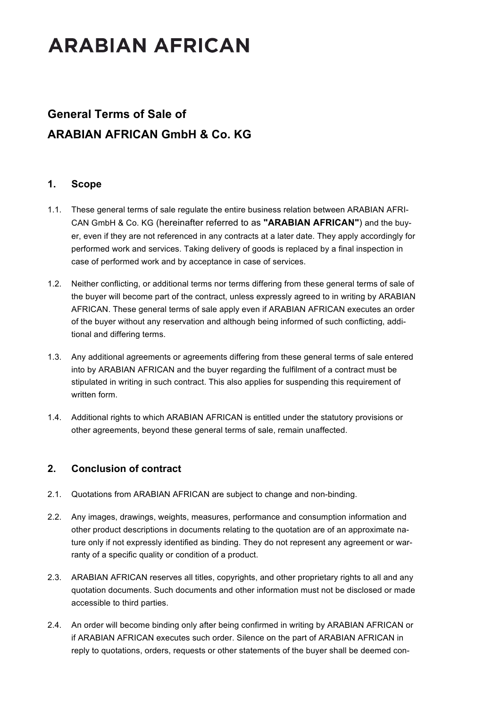### **General Terms of Sale of ARABIAN AFRICAN GmbH & Co. KG**

### **1. Scope**

- 1.1. These general terms of sale regulate the entire business relation between ARABIAN AFRI-CAN GmbH & Co. KG (hereinafter referred to as **"ARABIAN AFRICAN"**) and the buyer, even if they are not referenced in any contracts at a later date. They apply accordingly for performed work and services. Taking delivery of goods is replaced by a final inspection in case of performed work and by acceptance in case of services.
- 1.2. Neither conflicting, or additional terms nor terms differing from these general terms of sale of the buyer will become part of the contract, unless expressly agreed to in writing by ARABIAN AFRICAN. These general terms of sale apply even if ARABIAN AFRICAN executes an order of the buyer without any reservation and although being informed of such conflicting, additional and differing terms.
- 1.3. Any additional agreements or agreements differing from these general terms of sale entered into by ARABIAN AFRICAN and the buyer regarding the fulfilment of a contract must be stipulated in writing in such contract. This also applies for suspending this requirement of written form.
- 1.4. Additional rights to which ARABIAN AFRICAN is entitled under the statutory provisions or other agreements, beyond these general terms of sale, remain unaffected.

### **2. Conclusion of contract**

- 2.1. Quotations from ARABIAN AFRICAN are subject to change and non-binding.
- 2.2. Any images, drawings, weights, measures, performance and consumption information and other product descriptions in documents relating to the quotation are of an approximate nature only if not expressly identified as binding. They do not represent any agreement or warranty of a specific quality or condition of a product.
- 2.3. ARABIAN AFRICAN reserves all titles, copyrights, and other proprietary rights to all and any quotation documents. Such documents and other information must not be disclosed or made accessible to third parties.
- 2.4. An order will become binding only after being confirmed in writing by ARABIAN AFRICAN or if ARABIAN AFRICAN executes such order. Silence on the part of ARABIAN AFRICAN in reply to quotations, orders, requests or other statements of the buyer shall be deemed con-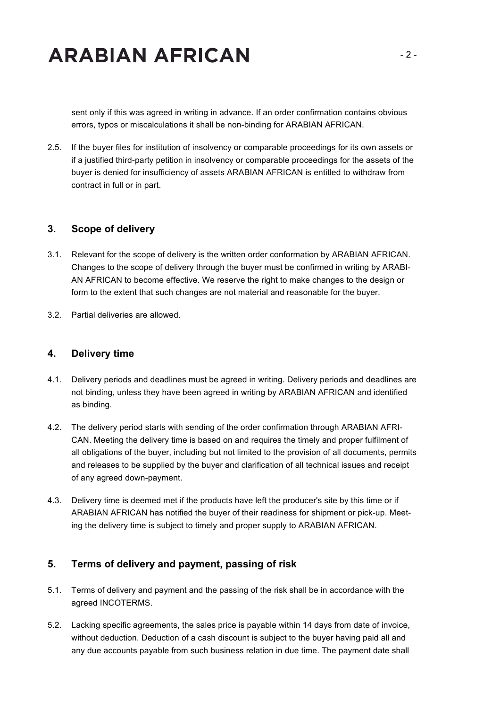sent only if this was agreed in writing in advance. If an order confirmation contains obvious errors, typos or miscalculations it shall be non-binding for ARABIAN AFRICAN.

2.5. If the buyer files for institution of insolvency or comparable proceedings for its own assets or if a justified third-party petition in insolvency or comparable proceedings for the assets of the buyer is denied for insufficiency of assets ARABIAN AFRICAN is entitled to withdraw from contract in full or in part.

#### **3. Scope of delivery**

- 3.1. Relevant for the scope of delivery is the written order conformation by ARABIAN AFRICAN. Changes to the scope of delivery through the buyer must be confirmed in writing by ARABI-AN AFRICAN to become effective. We reserve the right to make changes to the design or form to the extent that such changes are not material and reasonable for the buyer.
- 3.2. Partial deliveries are allowed.

#### **4. Delivery time**

- 4.1. Delivery periods and deadlines must be agreed in writing. Delivery periods and deadlines are not binding, unless they have been agreed in writing by ARABIAN AFRICAN and identified as binding.
- 4.2. The delivery period starts with sending of the order confirmation through ARABIAN AFRI-CAN. Meeting the delivery time is based on and requires the timely and proper fulfilment of all obligations of the buyer, including but not limited to the provision of all documents, permits and releases to be supplied by the buyer and clarification of all technical issues and receipt of any agreed down-payment.
- 4.3. Delivery time is deemed met if the products have left the producer's site by this time or if ARABIAN AFRICAN has notified the buyer of their readiness for shipment or pick-up. Meeting the delivery time is subject to timely and proper supply to ARABIAN AFRICAN.

#### **5. Terms of delivery and payment, passing of risk**

- 5.1. Terms of delivery and payment and the passing of the risk shall be in accordance with the agreed INCOTERMS.
- 5.2. Lacking specific agreements, the sales price is payable within 14 days from date of invoice, without deduction. Deduction of a cash discount is subject to the buyer having paid all and any due accounts payable from such business relation in due time. The payment date shall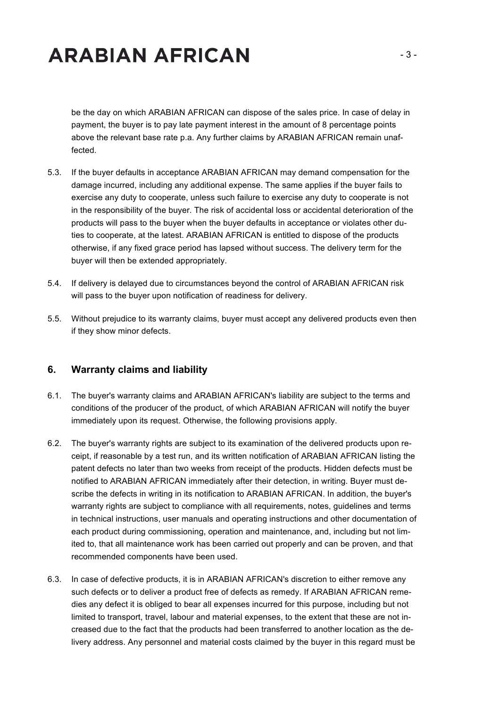be the day on which ARABIAN AFRICAN can dispose of the sales price. In case of delay in payment, the buyer is to pay late payment interest in the amount of 8 percentage points above the relevant base rate p.a. Any further claims by ARABIAN AFRICAN remain unaffected.

- 5.3. If the buyer defaults in acceptance ARABIAN AFRICAN may demand compensation for the damage incurred, including any additional expense. The same applies if the buyer fails to exercise any duty to cooperate, unless such failure to exercise any duty to cooperate is not in the responsibility of the buyer. The risk of accidental loss or accidental deterioration of the products will pass to the buyer when the buyer defaults in acceptance or violates other duties to cooperate, at the latest. ARABIAN AFRICAN is entitled to dispose of the products otherwise, if any fixed grace period has lapsed without success. The delivery term for the buyer will then be extended appropriately.
- 5.4. If delivery is delayed due to circumstances beyond the control of ARABIAN AFRICAN risk will pass to the buyer upon notification of readiness for delivery.
- 5.5. Without prejudice to its warranty claims, buyer must accept any delivered products even then if they show minor defects.

#### **6. Warranty claims and liability**

- 6.1. The buyer's warranty claims and ARABIAN AFRICAN's liability are subject to the terms and conditions of the producer of the product, of which ARABIAN AFRICAN will notify the buyer immediately upon its request. Otherwise, the following provisions apply.
- 6.2. The buyer's warranty rights are subject to its examination of the delivered products upon receipt, if reasonable by a test run, and its written notification of ARABIAN AFRICAN listing the patent defects no later than two weeks from receipt of the products. Hidden defects must be notified to ARABIAN AFRICAN immediately after their detection, in writing. Buyer must describe the defects in writing in its notification to ARABIAN AFRICAN. In addition, the buyer's warranty rights are subject to compliance with all requirements, notes, guidelines and terms in technical instructions, user manuals and operating instructions and other documentation of each product during commissioning, operation and maintenance, and, including but not limited to, that all maintenance work has been carried out properly and can be proven, and that recommended components have been used.
- 6.3. In case of defective products, it is in ARABIAN AFRICAN's discretion to either remove any such defects or to deliver a product free of defects as remedy. If ARABIAN AFRICAN remedies any defect it is obliged to bear all expenses incurred for this purpose, including but not limited to transport, travel, labour and material expenses, to the extent that these are not increased due to the fact that the products had been transferred to another location as the delivery address. Any personnel and material costs claimed by the buyer in this regard must be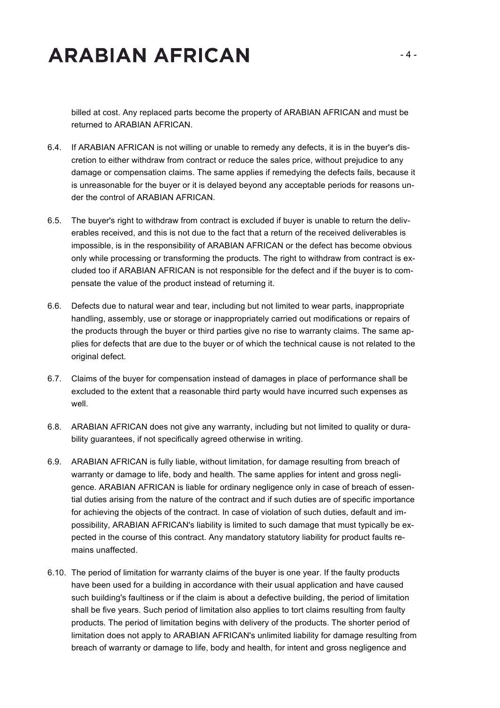billed at cost. Any replaced parts become the property of ARABIAN AFRICAN and must be returned to ARABIAN AFRICAN.

- 6.4. If ARABIAN AFRICAN is not willing or unable to remedy any defects, it is in the buyer's discretion to either withdraw from contract or reduce the sales price, without prejudice to any damage or compensation claims. The same applies if remedying the defects fails, because it is unreasonable for the buyer or it is delayed beyond any acceptable periods for reasons under the control of ARABIAN AFRICAN.
- 6.5. The buyer's right to withdraw from contract is excluded if buyer is unable to return the deliverables received, and this is not due to the fact that a return of the received deliverables is impossible, is in the responsibility of ARABIAN AFRICAN or the defect has become obvious only while processing or transforming the products. The right to withdraw from contract is excluded too if ARABIAN AFRICAN is not responsible for the defect and if the buyer is to compensate the value of the product instead of returning it.
- 6.6. Defects due to natural wear and tear, including but not limited to wear parts, inappropriate handling, assembly, use or storage or inappropriately carried out modifications or repairs of the products through the buyer or third parties give no rise to warranty claims. The same applies for defects that are due to the buyer or of which the technical cause is not related to the original defect.
- 6.7. Claims of the buyer for compensation instead of damages in place of performance shall be excluded to the extent that a reasonable third party would have incurred such expenses as well.
- 6.8. ARABIAN AFRICAN does not give any warranty, including but not limited to quality or durability guarantees, if not specifically agreed otherwise in writing.
- 6.9. ARABIAN AFRICAN is fully liable, without limitation, for damage resulting from breach of warranty or damage to life, body and health. The same applies for intent and gross negligence. ARABIAN AFRICAN is liable for ordinary negligence only in case of breach of essential duties arising from the nature of the contract and if such duties are of specific importance for achieving the objects of the contract. In case of violation of such duties, default and impossibility, ARABIAN AFRICAN's liability is limited to such damage that must typically be expected in the course of this contract. Any mandatory statutory liability for product faults remains unaffected.
- 6.10. The period of limitation for warranty claims of the buyer is one year. If the faulty products have been used for a building in accordance with their usual application and have caused such building's faultiness or if the claim is about a defective building, the period of limitation shall be five years. Such period of limitation also applies to tort claims resulting from faulty products. The period of limitation begins with delivery of the products. The shorter period of limitation does not apply to ARABIAN AFRICAN's unlimited liability for damage resulting from breach of warranty or damage to life, body and health, for intent and gross negligence and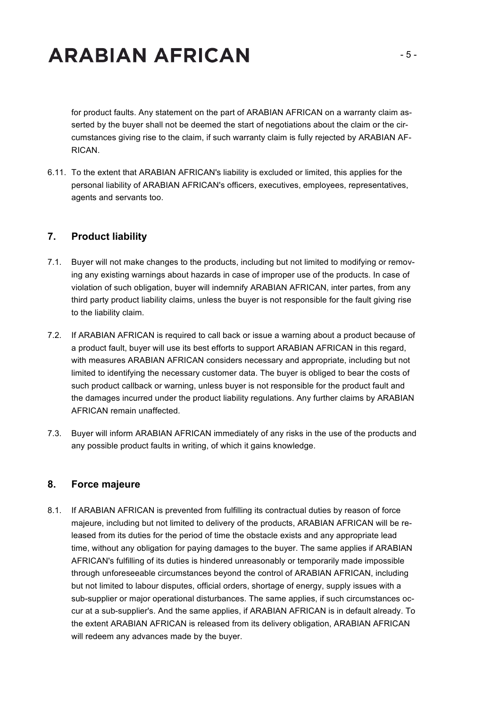for product faults. Any statement on the part of ARABIAN AFRICAN on a warranty claim asserted by the buyer shall not be deemed the start of negotiations about the claim or the circumstances giving rise to the claim, if such warranty claim is fully rejected by ARABIAN AF-RICAN.

6.11. To the extent that ARABIAN AFRICAN's liability is excluded or limited, this applies for the personal liability of ARABIAN AFRICAN's officers, executives, employees, representatives, agents and servants too.

### **7. Product liability**

- 7.1. Buyer will not make changes to the products, including but not limited to modifying or removing any existing warnings about hazards in case of improper use of the products. In case of violation of such obligation, buyer will indemnify ARABIAN AFRICAN, inter partes, from any third party product liability claims, unless the buyer is not responsible for the fault giving rise to the liability claim.
- 7.2. If ARABIAN AFRICAN is required to call back or issue a warning about a product because of a product fault, buyer will use its best efforts to support ARABIAN AFRICAN in this regard, with measures ARABIAN AFRICAN considers necessary and appropriate, including but not limited to identifying the necessary customer data. The buyer is obliged to bear the costs of such product callback or warning, unless buyer is not responsible for the product fault and the damages incurred under the product liability regulations. Any further claims by ARABIAN AFRICAN remain unaffected.
- 7.3. Buyer will inform ARABIAN AFRICAN immediately of any risks in the use of the products and any possible product faults in writing, of which it gains knowledge.

### **8. Force majeure**

8.1. If ARABIAN AFRICAN is prevented from fulfilling its contractual duties by reason of force majeure, including but not limited to delivery of the products, ARABIAN AFRICAN will be released from its duties for the period of time the obstacle exists and any appropriate lead time, without any obligation for paying damages to the buyer. The same applies if ARABIAN AFRICAN's fulfilling of its duties is hindered unreasonably or temporarily made impossible through unforeseeable circumstances beyond the control of ARABIAN AFRICAN, including but not limited to labour disputes, official orders, shortage of energy, supply issues with a sub-supplier or major operational disturbances. The same applies, if such circumstances occur at a sub-supplier's. And the same applies, if ARABIAN AFRICAN is in default already. To the extent ARABIAN AFRICAN is released from its delivery obligation, ARABIAN AFRICAN will redeem any advances made by the buyer.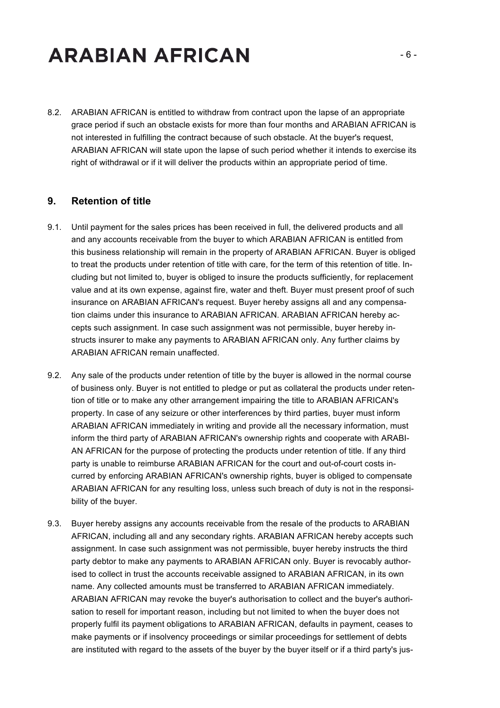8.2. ARABIAN AFRICAN is entitled to withdraw from contract upon the lapse of an appropriate grace period if such an obstacle exists for more than four months and ARABIAN AFRICAN is not interested in fulfilling the contract because of such obstacle. At the buyer's request, ARABIAN AFRICAN will state upon the lapse of such period whether it intends to exercise its right of withdrawal or if it will deliver the products within an appropriate period of time.

#### **9. Retention of title**

- 9.1. Until payment for the sales prices has been received in full, the delivered products and all and any accounts receivable from the buyer to which ARABIAN AFRICAN is entitled from this business relationship will remain in the property of ARABIAN AFRICAN. Buyer is obliged to treat the products under retention of title with care, for the term of this retention of title. Including but not limited to, buyer is obliged to insure the products sufficiently, for replacement value and at its own expense, against fire, water and theft. Buyer must present proof of such insurance on ARABIAN AFRICAN's request. Buyer hereby assigns all and any compensation claims under this insurance to ARABIAN AFRICAN. ARABIAN AFRICAN hereby accepts such assignment. In case such assignment was not permissible, buyer hereby instructs insurer to make any payments to ARABIAN AFRICAN only. Any further claims by ARABIAN AFRICAN remain unaffected.
- 9.2. Any sale of the products under retention of title by the buyer is allowed in the normal course of business only. Buyer is not entitled to pledge or put as collateral the products under retention of title or to make any other arrangement impairing the title to ARABIAN AFRICAN's property. In case of any seizure or other interferences by third parties, buyer must inform ARABIAN AFRICAN immediately in writing and provide all the necessary information, must inform the third party of ARABIAN AFRICAN's ownership rights and cooperate with ARABI-AN AFRICAN for the purpose of protecting the products under retention of title. If any third party is unable to reimburse ARABIAN AFRICAN for the court and out-of-court costs incurred by enforcing ARABIAN AFRICAN's ownership rights, buyer is obliged to compensate ARABIAN AFRICAN for any resulting loss, unless such breach of duty is not in the responsibility of the buyer.
- 9.3. Buyer hereby assigns any accounts receivable from the resale of the products to ARABIAN AFRICAN, including all and any secondary rights. ARABIAN AFRICAN hereby accepts such assignment. In case such assignment was not permissible, buyer hereby instructs the third party debtor to make any payments to ARABIAN AFRICAN only. Buyer is revocably authorised to collect in trust the accounts receivable assigned to ARABIAN AFRICAN, in its own name. Any collected amounts must be transferred to ARABIAN AFRICAN immediately. ARABIAN AFRICAN may revoke the buyer's authorisation to collect and the buyer's authorisation to resell for important reason, including but not limited to when the buyer does not properly fulfil its payment obligations to ARABIAN AFRICAN, defaults in payment, ceases to make payments or if insolvency proceedings or similar proceedings for settlement of debts are instituted with regard to the assets of the buyer by the buyer itself or if a third party's jus-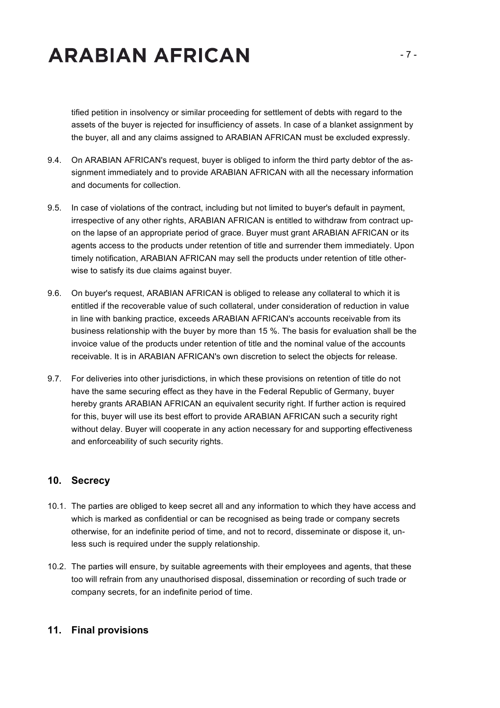tified petition in insolvency or similar proceeding for settlement of debts with regard to the assets of the buyer is rejected for insufficiency of assets. In case of a blanket assignment by the buyer, all and any claims assigned to ARABIAN AFRICAN must be excluded expressly.

- 9.4. On ARABIAN AFRICAN's request, buyer is obliged to inform the third party debtor of the assignment immediately and to provide ARABIAN AFRICAN with all the necessary information and documents for collection.
- 9.5. In case of violations of the contract, including but not limited to buyer's default in payment, irrespective of any other rights, ARABIAN AFRICAN is entitled to withdraw from contract upon the lapse of an appropriate period of grace. Buyer must grant ARABIAN AFRICAN or its agents access to the products under retention of title and surrender them immediately. Upon timely notification, ARABIAN AFRICAN may sell the products under retention of title otherwise to satisfy its due claims against buyer.
- 9.6. On buyer's request, ARABIAN AFRICAN is obliged to release any collateral to which it is entitled if the recoverable value of such collateral, under consideration of reduction in value in line with banking practice, exceeds ARABIAN AFRICAN's accounts receivable from its business relationship with the buyer by more than 15 %. The basis for evaluation shall be the invoice value of the products under retention of title and the nominal value of the accounts receivable. It is in ARABIAN AFRICAN's own discretion to select the objects for release.
- 9.7. For deliveries into other jurisdictions, in which these provisions on retention of title do not have the same securing effect as they have in the Federal Republic of Germany, buyer hereby grants ARABIAN AFRICAN an equivalent security right. If further action is required for this, buyer will use its best effort to provide ARABIAN AFRICAN such a security right without delay. Buyer will cooperate in any action necessary for and supporting effectiveness and enforceability of such security rights.

### **10. Secrecy**

- 10.1. The parties are obliged to keep secret all and any information to which they have access and which is marked as confidential or can be recognised as being trade or company secrets otherwise, for an indefinite period of time, and not to record, disseminate or dispose it, unless such is required under the supply relationship.
- 10.2. The parties will ensure, by suitable agreements with their employees and agents, that these too will refrain from any unauthorised disposal, dissemination or recording of such trade or company secrets, for an indefinite period of time.

#### **11. Final provisions**